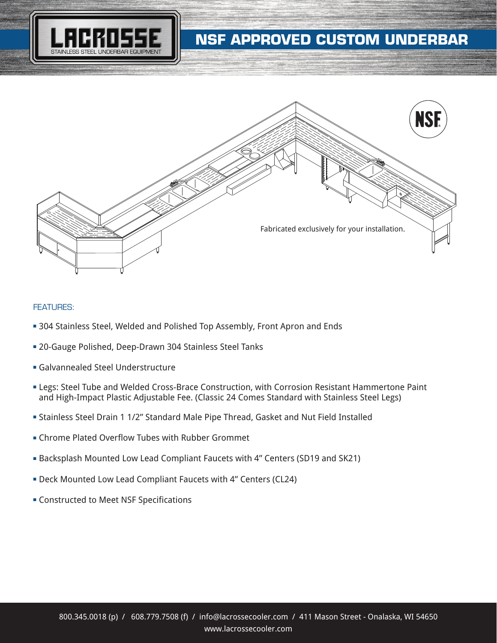



### FEATURES:

- **304 Stainless Steel, Welded and Polished Top Assembly, Front Apron and Ends**
- **20-Gauge Polished, Deep-Drawn 304 Stainless Steel Tanks**
- **Galvannealed Steel Understructure**
- **Examps: Steel Tube and Welded Cross-Brace Construction, with Corrosion Resistant Hammertone Paint** and High-Impact Plastic Adjustable Fee. (Classic 24 Comes Standard with Stainless Steel Legs)
- <sup>n</sup> Stainless Steel Drain 1 1/2" Standard Male Pipe Thread, Gasket and Nut Field Installed
- **Example 2** Chrome Plated Overflow Tubes with Rubber Grommet
- <sup>n</sup> Backsplash Mounted Low Lead Compliant Faucets with 4" Centers (SD19 and SK21)
- **Deck Mounted Low Lead Compliant Faucets with 4" Centers (CL24)**
- **EX Constructed to Meet NSF Specifications**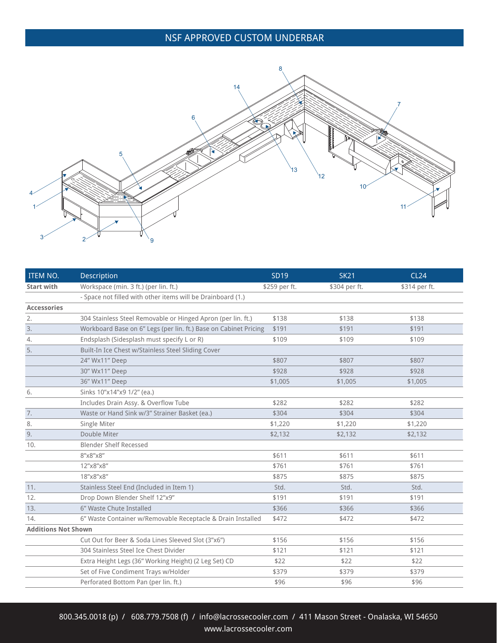# NSF APPROVED CUSTOM UNDERBAR



| <b>ITEM NO.</b>            | <b>Description</b>                                               | <b>SD19</b>   | <b>SK21</b>   | <b>CL24</b>   |
|----------------------------|------------------------------------------------------------------|---------------|---------------|---------------|
| <b>Start with</b>          | Workspace (min. 3 ft.) (per lin. ft.)                            | \$259 per ft. | \$304 per ft. | \$314 per ft. |
|                            | - Space not filled with other items will be Drainboard (1.)      |               |               |               |
| <b>Accessories</b>         |                                                                  |               |               |               |
| 2.                         | 304 Stainless Steel Removable or Hinged Apron (per lin. ft.)     | \$138         | \$138         | \$138         |
| 3.                         | Workboard Base on 6" Legs (per lin. ft.) Base on Cabinet Pricing | \$191         | \$191         | \$191         |
| 4.                         | Endsplash (Sidesplash must specify L or R)                       | \$109         | \$109         | \$109         |
| 5.                         | Built-In Ice Chest w/Stainless Steel Sliding Cover               |               |               |               |
|                            | 24" Wx11" Deep                                                   | \$807         | \$807         | \$807         |
|                            | 30" Wx11" Deep                                                   | \$928         | \$928         | \$928         |
|                            | 36" Wx11" Deep                                                   | \$1,005       | \$1,005       | \$1,005       |
| 6.                         | Sinks 10"x14"x9 1/2" (ea.)                                       |               |               |               |
|                            | Includes Drain Assy. & Overflow Tube                             | \$282         | \$282         | \$282         |
| $7.$                       | Waste or Hand Sink w/3" Strainer Basket (ea.)                    | \$304         | \$304         | \$304         |
| 8.                         | Single Miter                                                     | \$1,220       | \$1,220       | \$1,220       |
| 9.                         | Double Miter                                                     | \$2,132       | \$2,132       | \$2,132       |
| 10.                        | Blender Shelf Recessed                                           |               |               |               |
|                            | 8"x8"x8"                                                         | \$611         | \$611         | \$611         |
|                            | 12"x8"x8"                                                        | \$761         | \$761         | \$761         |
|                            | 18"x8"x8"                                                        | \$875         | \$875         | \$875         |
| 11.                        | Stainless Steel End (Included in Item 1)                         | Std.          | Std.          | Std.          |
| 12.                        | Drop Down Blender Shelf 12"x9"                                   | \$191         | \$191         | \$191         |
| 13.                        | 6" Waste Chute Installed                                         | \$366         | \$366         | \$366         |
| 14.                        | 6" Waste Container w/Removable Receptacle & Drain Installed      | \$472         | \$472         | \$472         |
| <b>Additions Not Shown</b> |                                                                  |               |               |               |
|                            | Cut Out for Beer & Soda Lines Sleeved Slot (3"x6")               | \$156         | \$156         | \$156         |
|                            | 304 Stainless Steel Ice Chest Divider                            | \$121         | \$121         | \$121         |
|                            | Extra Height Legs (36" Working Height) (2 Leg Set) CD            | \$22          | \$22          | \$22          |
|                            | Set of Five Condiment Trays w/Holder                             | \$379         | \$379         | \$379         |
|                            | Perforated Bottom Pan (per lin. ft.)                             | \$96          | \$96          | \$96          |